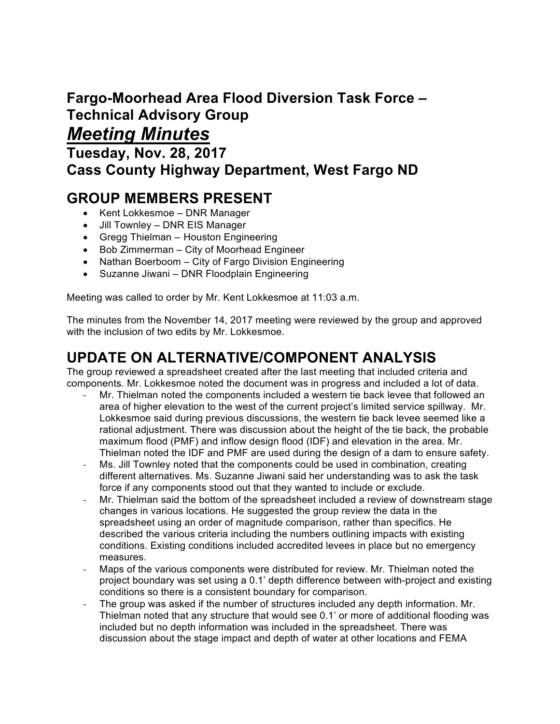# **Fargo-Moorhead Area Flood Diversion Task Force – Technical Advisory Group**

## *Meeting Minutes*

**Tuesday, Nov. 28, 2017 Cass County Highway Department, West Fargo ND**

## **GROUP MEMBERS PRESENT**

- Kent Lokkesmoe DNR Manager
- Jill Townley DNR EIS Manager
- Gregg Thielman Houston Engineering
- Bob Zimmerman City of Moorhead Engineer
- Nathan Boerboom City of Fargo Division Engineering
- Suzanne Jiwani DNR Floodplain Engineering

Meeting was called to order by Mr. Kent Lokkesmoe at 11:03 a.m.

The minutes from the November 14, 2017 meeting were reviewed by the group and approved with the inclusion of two edits by Mr. Lokkesmoe.

## **UPDATE ON ALTERNATIVE/COMPONENT ANALYSIS**

The group reviewed a spreadsheet created after the last meeting that included criteria and components. Mr. Lokkesmoe noted the document was in progress and included a lot of data.

- Mr. Thielman noted the components included a western tie back levee that followed an area of higher elevation to the west of the current project's limited service spillway. Mr. Lokkesmoe said during previous discussions, the western tie back levee seemed like a rational adjustment. There was discussion about the height of the tie back, the probable maximum flood (PMF) and inflow design flood (IDF) and elevation in the area. Mr. Thielman noted the IDF and PMF are used during the design of a dam to ensure safety.
- Ms. Jill Townley noted that the components could be used in combination, creating different alternatives. Ms. Suzanne Jiwani said her understanding was to ask the task force if any components stood out that they wanted to include or exclude.
- Mr. Thielman said the bottom of the spreadsheet included a review of downstream stage changes in various locations. He suggested the group review the data in the spreadsheet using an order of magnitude comparison, rather than specifics. He described the various criteria including the numbers outlining impacts with existing conditions. Existing conditions included accredited levees in place but no emergency measures.
- Maps of the various components were distributed for review. Mr. Thielman noted the project boundary was set using a 0.1' depth difference between with-project and existing conditions so there is a consistent boundary for comparison.
- The group was asked if the number of structures included any depth information. Mr. Thielman noted that any structure that would see 0.1' or more of additional flooding was included but no depth information was included in the spreadsheet. There was discussion about the stage impact and depth of water at other locations and FEMA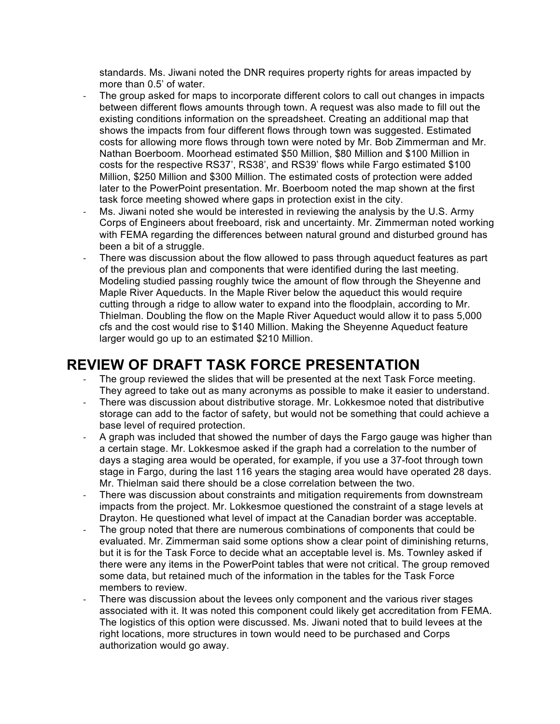standards. Ms. Jiwani noted the DNR requires property rights for areas impacted by more than 0.5' of water.

- The group asked for maps to incorporate different colors to call out changes in impacts between different flows amounts through town. A request was also made to fill out the existing conditions information on the spreadsheet. Creating an additional map that shows the impacts from four different flows through town was suggested. Estimated costs for allowing more flows through town were noted by Mr. Bob Zimmerman and Mr. Nathan Boerboom. Moorhead estimated \$50 Million, \$80 Million and \$100 Million in costs for the respective RS37', RS38', and RS39' flows while Fargo estimated \$100 Million, \$250 Million and \$300 Million. The estimated costs of protection were added later to the PowerPoint presentation. Mr. Boerboom noted the map shown at the first task force meeting showed where gaps in protection exist in the city.
- Ms. Jiwani noted she would be interested in reviewing the analysis by the U.S. Army Corps of Engineers about freeboard, risk and uncertainty. Mr. Zimmerman noted working with FEMA regarding the differences between natural ground and disturbed ground has been a bit of a struggle.
- There was discussion about the flow allowed to pass through aqueduct features as part of the previous plan and components that were identified during the last meeting. Modeling studied passing roughly twice the amount of flow through the Sheyenne and Maple River Aqueducts. In the Maple River below the aqueduct this would require cutting through a ridge to allow water to expand into the floodplain, according to Mr. Thielman. Doubling the flow on the Maple River Aqueduct would allow it to pass 5,000 cfs and the cost would rise to \$140 Million. Making the Sheyenne Aqueduct feature larger would go up to an estimated \$210 Million.

#### **REVIEW OF DRAFT TASK FORCE PRESENTATION**

- The group reviewed the slides that will be presented at the next Task Force meeting. They agreed to take out as many acronyms as possible to make it easier to understand.
- There was discussion about distributive storage. Mr. Lokkesmoe noted that distributive storage can add to the factor of safety, but would not be something that could achieve a base level of required protection.
- A graph was included that showed the number of days the Fargo gauge was higher than a certain stage. Mr. Lokkesmoe asked if the graph had a correlation to the number of days a staging area would be operated, for example, if you use a 37-foot through town stage in Fargo, during the last 116 years the staging area would have operated 28 days. Mr. Thielman said there should be a close correlation between the two.
- There was discussion about constraints and mitigation requirements from downstream impacts from the project. Mr. Lokkesmoe questioned the constraint of a stage levels at Drayton. He questioned what level of impact at the Canadian border was acceptable.
- The group noted that there are numerous combinations of components that could be evaluated. Mr. Zimmerman said some options show a clear point of diminishing returns, but it is for the Task Force to decide what an acceptable level is. Ms. Townley asked if there were any items in the PowerPoint tables that were not critical. The group removed some data, but retained much of the information in the tables for the Task Force members to review.
- There was discussion about the levees only component and the various river stages associated with it. It was noted this component could likely get accreditation from FEMA. The logistics of this option were discussed. Ms. Jiwani noted that to build levees at the right locations, more structures in town would need to be purchased and Corps authorization would go away.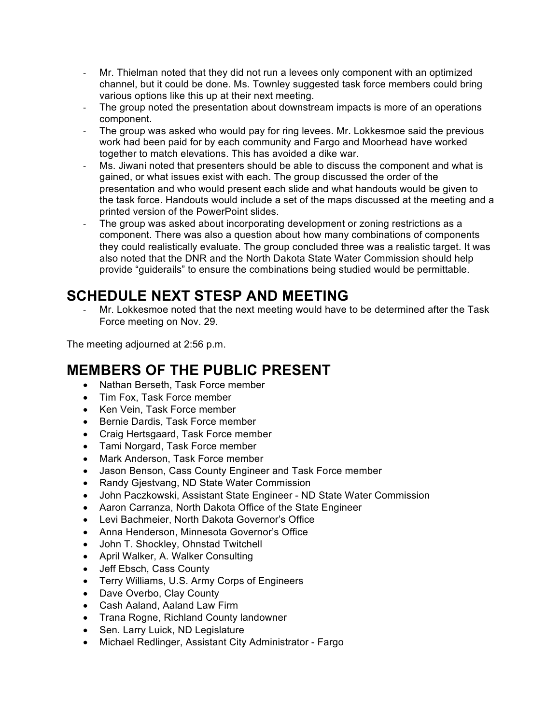- Mr. Thielman noted that they did not run a levees only component with an optimized channel, but it could be done. Ms. Townley suggested task force members could bring various options like this up at their next meeting.
- The group noted the presentation about downstream impacts is more of an operations component.
- The group was asked who would pay for ring levees. Mr. Lokkesmoe said the previous work had been paid for by each community and Fargo and Moorhead have worked together to match elevations. This has avoided a dike war.
- Ms. Jiwani noted that presenters should be able to discuss the component and what is gained, or what issues exist with each. The group discussed the order of the presentation and who would present each slide and what handouts would be given to the task force. Handouts would include a set of the maps discussed at the meeting and a printed version of the PowerPoint slides.
- The group was asked about incorporating development or zoning restrictions as a component. There was also a question about how many combinations of components they could realistically evaluate. The group concluded three was a realistic target. It was also noted that the DNR and the North Dakota State Water Commission should help provide "guiderails" to ensure the combinations being studied would be permittable.

## **SCHEDULE NEXT STESP AND MEETING**

Mr. Lokkesmoe noted that the next meeting would have to be determined after the Task Force meeting on Nov. 29.

The meeting adjourned at 2:56 p.m.

## **MEMBERS OF THE PUBLIC PRESENT**

- Nathan Berseth, Task Force member
- Tim Fox, Task Force member
- Ken Vein, Task Force member
- Bernie Dardis, Task Force member
- Craig Hertsgaard, Task Force member
- Tami Norgard, Task Force member
- Mark Anderson, Task Force member
- Jason Benson, Cass County Engineer and Task Force member
- Randy Gjestvang, ND State Water Commission
- John Paczkowski, Assistant State Engineer ND State Water Commission
- Aaron Carranza, North Dakota Office of the State Engineer
- Levi Bachmeier, North Dakota Governor's Office
- Anna Henderson, Minnesota Governor's Office
- John T. Shockley, Ohnstad Twitchell
- April Walker, A. Walker Consulting
- Jeff Ebsch, Cass County
- Terry Williams, U.S. Army Corps of Engineers
- Dave Overbo, Clay County
- Cash Aaland, Aaland Law Firm
- Trana Rogne, Richland County landowner
- Sen. Larry Luick, ND Legislature
- Michael Redlinger, Assistant City Administrator Fargo